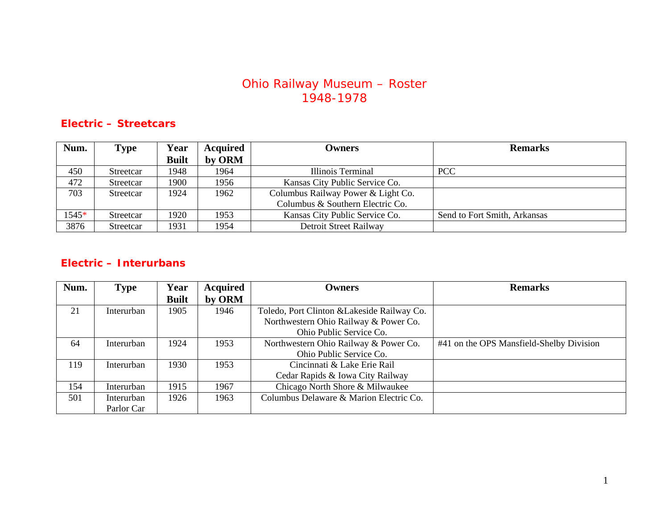## Ohio Railway Museum – Roster 1948-1978

### **Electric – Streetcars**

| Num.  | <b>Type</b> | Year         | <b>Acquired</b> | Owners                             | <b>Remarks</b>               |
|-------|-------------|--------------|-----------------|------------------------------------|------------------------------|
|       |             | <b>Built</b> | by ORM          |                                    |                              |
| 450   | Streetcar   | 1948         | 1964            | Illinois Terminal                  | <b>PCC</b>                   |
| 472   | Streetcar   | 1900         | 1956            | Kansas City Public Service Co.     |                              |
| 703   | Streetcar   | 1924         | 1962            | Columbus Railway Power & Light Co. |                              |
|       |             |              |                 | Columbus & Southern Electric Co.   |                              |
| 1545* | Streetcar   | 1920         | 1953            | Kansas City Public Service Co.     | Send to Fort Smith, Arkansas |
| 3876  | Streetcar   | 1931         | 1954            | Detroit Street Railway             |                              |

### **Electric – Interurbans**

| Num. | Type       | Year         | <b>Acquired</b> | <b>Owners</b>                               | <b>Remarks</b>                           |
|------|------------|--------------|-----------------|---------------------------------------------|------------------------------------------|
|      |            | <b>Built</b> | by ORM          |                                             |                                          |
| 21   | Interurban | 1905         | 1946            | Toledo, Port Clinton & Lakeside Railway Co. |                                          |
|      |            |              |                 | Northwestern Ohio Railway & Power Co.       |                                          |
|      |            |              |                 | Ohio Public Service Co.                     |                                          |
| 64   | Interurban | 1924         | 1953            | Northwestern Ohio Railway & Power Co.       | #41 on the OPS Mansfield-Shelby Division |
|      |            |              |                 | Ohio Public Service Co.                     |                                          |
| 119  | Interurban | 1930         | 1953            | Cincinnati & Lake Erie Rail                 |                                          |
|      |            |              |                 | Cedar Rapids & Iowa City Railway            |                                          |
| 154  | Interurban | 1915         | 1967            | Chicago North Shore & Milwaukee             |                                          |
| 501  | Interurban | 1926         | 1963            | Columbus Delaware & Marion Electric Co.     |                                          |
|      | Parlor Car |              |                 |                                             |                                          |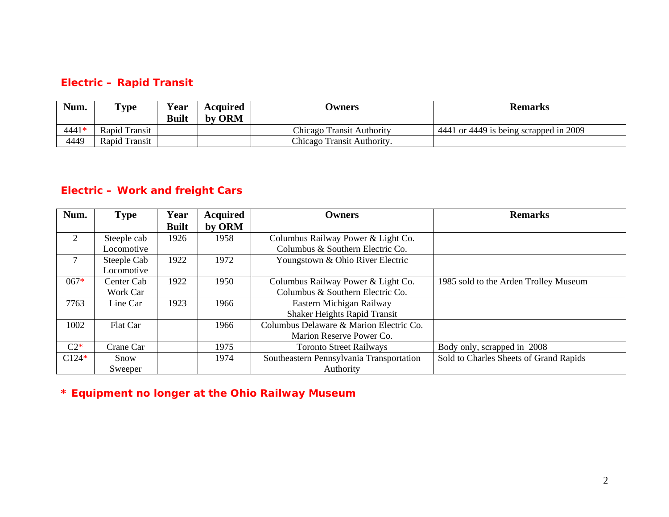#### **Electric – Rapid Transit**

| Num.  | <b>Type</b>   | Year<br><b>Built</b> | Acquired<br>by ORM | <b>Owners</b>                    | <b>Remarks</b>                         |
|-------|---------------|----------------------|--------------------|----------------------------------|----------------------------------------|
| 4441* | Rapid Transit |                      |                    | <b>Chicago Transit Authority</b> | 4441 or 4449 is being scrapped in 2009 |
| 4449  | Rapid Transit |                      |                    | Chicago Transit Authority.       |                                        |

# **Electric – Work and freight Cars**

| Num.    | <b>Type</b> | Year         | <b>Acquired</b> | Owners                                   | <b>Remarks</b>                         |
|---------|-------------|--------------|-----------------|------------------------------------------|----------------------------------------|
|         |             | <b>Built</b> | by ORM          |                                          |                                        |
| 2       | Steeple cab | 1926         | 1958            | Columbus Railway Power & Light Co.       |                                        |
|         | Locomotive  |              |                 | Columbus & Southern Electric Co.         |                                        |
| 7       | Steeple Cab | 1922         | 1972            | Youngstown & Ohio River Electric         |                                        |
|         | Locomotive  |              |                 |                                          |                                        |
| $067*$  | Center Cab  | 1922         | 1950            | Columbus Railway Power & Light Co.       | 1985 sold to the Arden Trolley Museum  |
|         | Work Car    |              |                 | Columbus & Southern Electric Co.         |                                        |
| 7763    | Line Car    | 1923         | 1966            | Eastern Michigan Railway                 |                                        |
|         |             |              |                 | <b>Shaker Heights Rapid Transit</b>      |                                        |
| 1002    | Flat Car    |              | 1966            | Columbus Delaware & Marion Electric Co.  |                                        |
|         |             |              |                 | Marion Reserve Power Co.                 |                                        |
| $C2*$   | Crane Car   |              | 1975            | <b>Toronto Street Railways</b>           | Body only, scrapped in 2008            |
| $C124*$ | Snow        |              | 1974            | Southeastern Pennsylvania Transportation | Sold to Charles Sheets of Grand Rapids |
|         | Sweeper     |              |                 | Authority                                |                                        |

**\* Equipment no longer at the Ohio Railway Museum**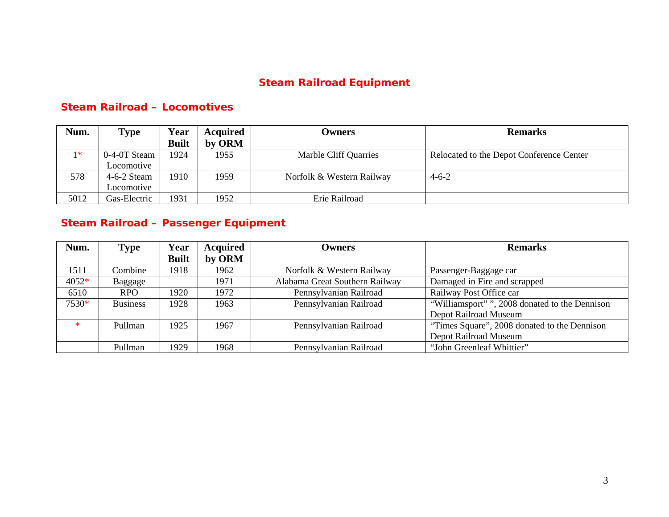## **Steam Railroad Equipment**

### **Steam Railroad – Locomotives**

| Num. | Type                        | Year         | <b>Acquired</b> | <b>Owners</b>             | <b>Remarks</b>                           |
|------|-----------------------------|--------------|-----------------|---------------------------|------------------------------------------|
|      |                             | <b>Built</b> | by ORM          |                           |                                          |
| $1*$ | $0-4-0T$ Steam <sup>1</sup> | 1924         | 1955            | Marble Cliff Quarries     | Relocated to the Depot Conference Center |
|      | Locomotive                  |              |                 |                           |                                          |
| 578  | $4-6-2$ Steam               | 1910         | 1959            | Norfolk & Western Railway | $4 - 6 - 2$                              |
|      | Locomotive                  |              |                 |                           |                                          |
| 5012 | Gas-Electric                | 1931         | 1952            | Erie Railroad             |                                          |

# **Steam Railroad – Passenger Equipment**

| Num.   | <b>Type</b>     | Year         | <b>Acquired</b> | <b>Owners</b>                  | <b>Remarks</b>                                |
|--------|-----------------|--------------|-----------------|--------------------------------|-----------------------------------------------|
|        |                 | <b>Built</b> | by ORM          |                                |                                               |
| 1511   | Combine         | 1918         | 1962            | Norfolk & Western Railway      | Passenger-Baggage car                         |
| 4052*  | Baggage         |              | 1971            | Alabama Great Southern Railway | Damaged in Fire and scrapped                  |
| 6510   | RPO             | 1920         | 1972            | Pennsylvanian Railroad         | Railway Post Office car                       |
| 7530*  | <b>Business</b> | 1928         | 1963            | Pennsylvanian Railroad         | "Williamsport"", 2008 donated to the Dennison |
|        |                 |              |                 |                                | Depot Railroad Museum                         |
| $\ast$ | Pullman         | 1925         | 1967            | Pennsylvanian Railroad         | "Times Square", 2008 donated to the Dennison  |
|        |                 |              |                 |                                | Depot Railroad Museum                         |
|        | Pullman         | 1929         | 1968            | Pennsylvanian Railroad         | "John Greenleaf Whittier"                     |